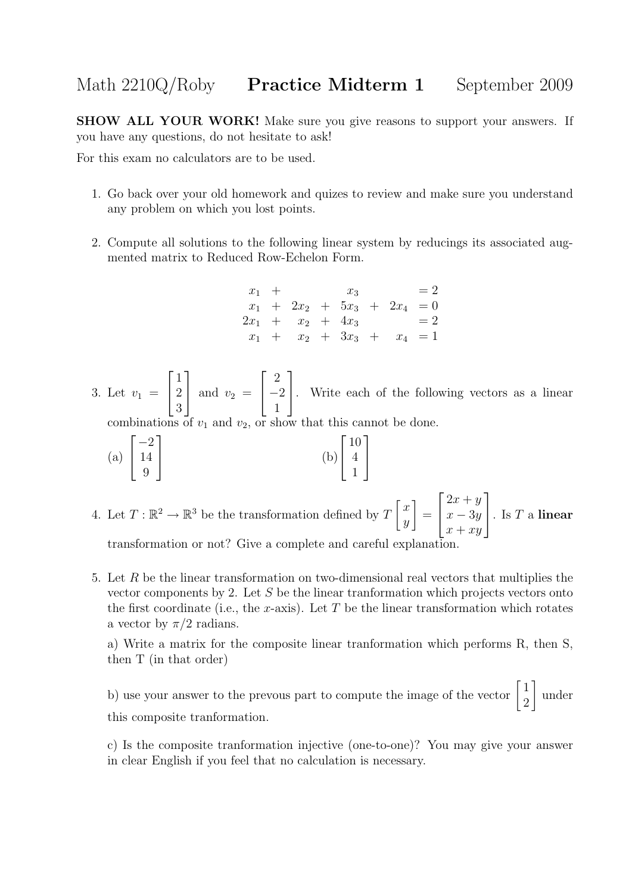## Math 2210Q/Roby **Practice Midterm 1** September 2009

SHOW ALL YOUR WORK! Make sure you give reasons to support your answers. If you have any questions, do not hesitate to ask!

For this exam no calculators are to be used.

- 1. Go back over your old homework and quizes to review and make sure you understand any problem on which you lost points.
- 2. Compute all solutions to the following linear system by reducings its associated augmented matrix to Reduced Row-Echelon Form.

 $x_1 + x_3 = 2$  $x_1 + 2x_2 + 5x_3 + 2x_4 = 0$  $2x_1 + x_2 + 4x_3 = 2$  $x_1 + x_2 + 3x_3 + x_4 = 1$ 

3. Let  $v_1 =$  $\sqrt{ }$  $\overline{\phantom{a}}$ 1 2 3 1 and  $v_2 =$  $\sqrt{ }$  $\overline{\phantom{a}}$ 2  $-2$ 1 1 . Write each of the following vectors as a linear combinations of  $v_1$  and  $v_2$ , or show that this cannot be done.

1

 $\frac{1}{2}$ 

(a) 
$$
\begin{bmatrix} -2 \\ 14 \\ 9 \end{bmatrix}
$$
 (b) 
$$
\begin{bmatrix} 10 \\ 4 \\ 1 \end{bmatrix}
$$

- 4. Let  $T: \mathbb{R}^2 \to \mathbb{R}^3$  be the transformation defined by  $T\begin{bmatrix} x \\ y \end{bmatrix}$  $\hat{y}$ 1 =  $\sqrt{ }$  $\overline{\phantom{a}}$  $2x + y$  $x - 3y$  $x + xy$ 1  $\Big\vert \cdot \ \text{Is } T \text{ a linear}$ transformation or not? Give a complete and careful explanation.
- 5. Let R be the linear transformation on two-dimensional real vectors that multiplies the vector components by 2. Let S be the linear tranformation which projects vectors onto the first coordinate (i.e., the x-axis). Let  $T$  be the linear transformation which rotates a vector by  $\pi/2$  radians.

a) Write a matrix for the composite linear tranformation which performs R, then S, then T (in that order)

b) use your answer to the prevous part to compute the image of the vector  $\begin{bmatrix} 1 \\ 2 \end{bmatrix}$ 2 1 under this composite tranformation.

c) Is the composite tranformation injective (one-to-one)? You may give your answer in clear English if you feel that no calculation is necessary.